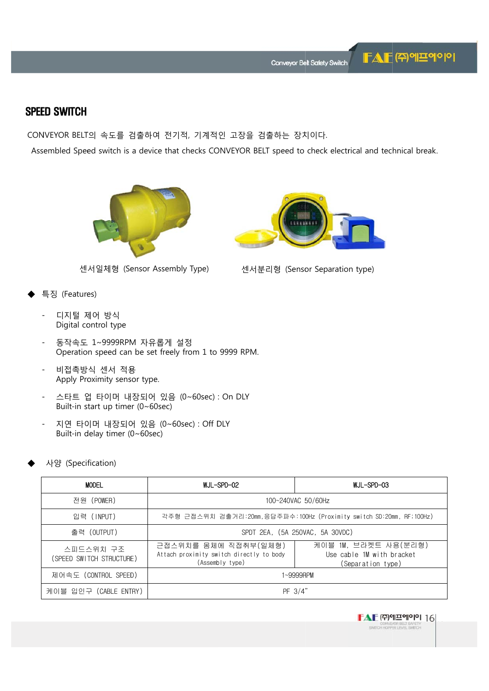$FAE$  (주)에프에이어

## SPEE ED SWITCH

CONVEYOR BELT의 속도를 검출하여 전기적, 기계적인 고장을 검출하는 장치이다.

Assembled Speed switch is a device that checks CONVEYOR BELT speed to check electrical and technical break.



센서일체형 (Sensor Assembly Type)

- ◆ 특징 (Features)
	- – 디지털 제어 방식 Digital control type
	- – 동작속도 1~9999RPM 자유롭게 설정 Operation speed can be set freely from 1 to 9999 RPM.
	- 비접촉방 방식 센서 적용 비접촉방식 센서 적용<br>Apply Proximity sensor type.
	- 스타트 업 업 타이머 내 장되어 있음 음 (0~60sec) : On DLY Built-in start up timer  $(0~60~sec)$
	- - 지연 타이머 내장되어 있음 (0~60sec):Off DLY Built-in delay timer (0~60sec)
- ◆ 사양 (Speci fication)

| <b>MODEL</b>                          | WJL-SPD-02                                                                          | WJL-SPD-03                                                             |
|---------------------------------------|-------------------------------------------------------------------------------------|------------------------------------------------------------------------|
| 전원 (POWER)                            | 100~240VAC 50/60Hz                                                                  |                                                                        |
| 입력 (INPUT)                            | 각주형 근접스위치 검출거리:20mm,응답주파수:100Hz (Proximity switch SD:20mm, RF;100Hz)                |                                                                        |
| 출력 (OUTPUT)                           | SPDT 2EA, (5A 250VAC, 5A 30VDC)                                                     |                                                                        |
| 스피드스위치 구조<br>(SPEED SWITCH STRUCTURE) | 근접스위치를 몸체에 직접취부(일체형)<br>Attach proximity switch directly to body<br>(Assembly type) | 케이블 1M, 브라켓트 사용(분리형)<br>Use cable 1M with bracket<br>(Separation type) |
| 제어속도 (CONTROL SPEED)                  | 1~9999RPM                                                                           |                                                                        |
| 케이블 입인구 (CABLE ENTRY)                 | PF 3/4"                                                                             |                                                                        |



센서분 분리형 (Senso or Separatio n type)